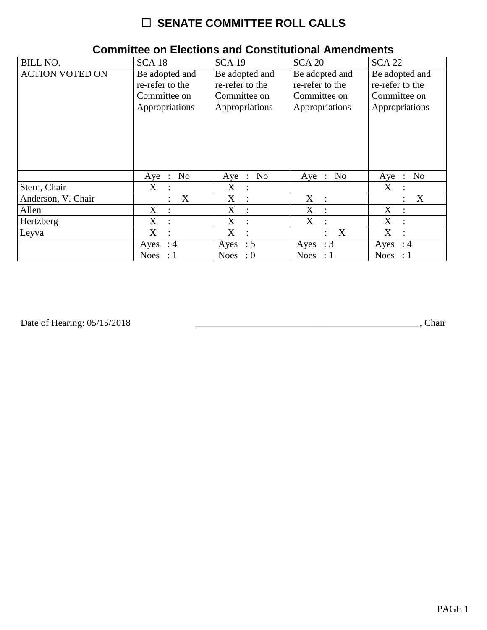## $\Box$  SENATE COMMITTEE ROLL CALLS

| <b>BILL NO.</b>        | SCA <sub>18</sub>                                                   | <b>SCA 19</b>                                                       | <b>SCA 20</b>                                                       | <b>SCA 22</b>                                                       |
|------------------------|---------------------------------------------------------------------|---------------------------------------------------------------------|---------------------------------------------------------------------|---------------------------------------------------------------------|
| <b>ACTION VOTED ON</b> | Be adopted and<br>re-refer to the<br>Committee on<br>Appropriations | Be adopted and<br>re-refer to the<br>Committee on<br>Appropriations | Be adopted and<br>re-refer to the<br>Committee on<br>Appropriations | Be adopted and<br>re-refer to the<br>Committee on<br>Appropriations |
|                        | No<br>$Aye$ :                                                       | N <sub>o</sub><br>Aye :                                             | Aye : No                                                            | N <sub>o</sub><br>Aye<br>$\ddot{\cdot}$                             |
| Stern, Chair           | X<br>$\ddot{\phantom{a}}$                                           | $X_{\mathcal{L}}$<br>$\ddot{\cdot}$                                 |                                                                     | X<br>$\ddot{\cdot}$                                                 |
| Anderson, V. Chair     | X                                                                   | X<br>$\ddot{\cdot}$                                                 | X<br>$\sim$ 1.                                                      | X<br>$\ddot{\cdot}$                                                 |
| Allen                  | X<br>$\ddot{\cdot}$                                                 | X<br>$\ddot{\cdot}$                                                 | X<br>$\cdot$ :                                                      | X<br>$\ddot{\cdot}$                                                 |
| Hertzberg              | X<br>$\ddot{\phantom{a}}$                                           | X<br>$\ddot{\phantom{a}}$                                           | X<br>$\cdot$                                                        | X<br>$\ddot{\cdot}$                                                 |
| Leyva                  | X<br>$\ddot{\cdot}$                                                 | X<br>$\ddot{\cdot}$                                                 | $\boldsymbol{\mathrm{X}}$<br>$\mathcal{L}$                          | X<br>$\ddot{\cdot}$                                                 |
|                        | Ayes : $4$                                                          | Ayes : $5$                                                          | Ayes : $3$                                                          | Ayes<br>: 4                                                         |
|                        | <b>Noes</b><br>$\div 1$                                             | Noes : $0$                                                          | Noes : $1$                                                          | <b>Noes</b><br>$\therefore$ 1                                       |

## **Committee on Elections and Constitutional Amendments**

Date of Hearing: 05/15/2018

Chair (Chair